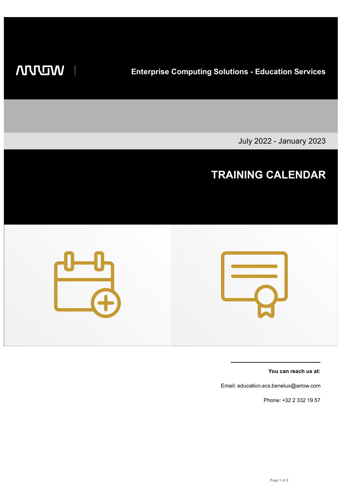**WIDDIN** 

 $\overline{\phantom{a}}$ 

**Enterprise Computing Solutions - Education Services**

July 2022 - January 2023



**You can reach us at:**

Email: education.ecs.benelux@arrow.com

Phone: +32 2 332 19 57